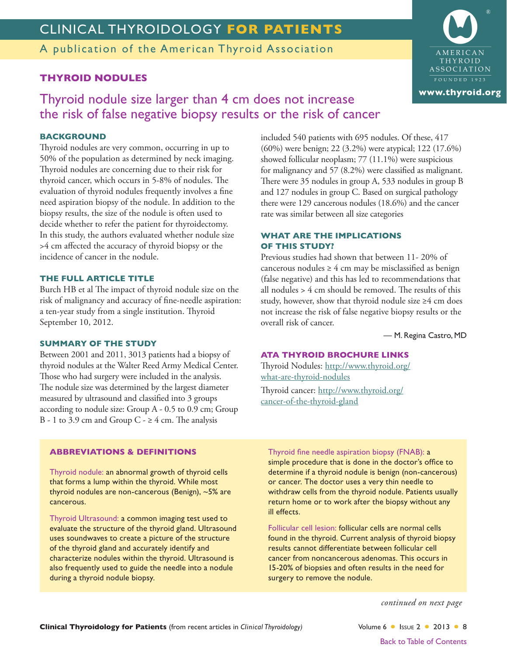# CLINICAL THYROIDOLOGY FOR PATIENTS

A publication of the American Thyroid Association

## **THYROID NODULES**

Thyroid nodule size larger than 4 cm does not increase the risk of false negative biopsy results or the risk of cancer

## **BACKGROUND**

Thyroid nodules are very common, occurring in up to 50% of the population as determined by neck imaging. Thyroid nodules are concerning due to their risk for thyroid cancer, which occurs in 5-8% of nodules. The evaluation of thyroid nodules frequently involves a fine need aspiration biopsy of the nodule. In addition to the biopsy results, the size of the nodule is often used to decide whether to refer the patient for thyroidectomy. In this study, the authors evaluated whether nodule size >4 cm affected the accuracy of thyroid biopsy or the incidence of cancer in the nodule.

### THE FULL ARTICLE TITLE

Burch HB et al The impact of thyroid nodule size on the risk of malignancy and accuracy of fine-needle aspiration: a ten-year study from a single institution. Thyroid September 10, 2012.

#### **SUMMARY OF THE STUDY**

Between 2001 and 2011, 3013 patients had a biopsy of thyroid nodules at the Walter Reed Army Medical Center. Those who had surgery were included in the analysis. The nodule size was determined by the largest diameter measured by ultrasound and classified into 3 groups according to nodule size: Group A - 0.5 to 0.9 cm; Group B - 1 to 3.9 cm and Group C -  $\geq$  4 cm. The analysis

included 540 patients with 695 nodules. Of these, 417  $(60\%)$  were benign; 22 (3.2%) were atypical; 122 (17.6%) showed follicular neoplasm; 77 (11.1%) were suspicious for malignancy and 57 (8.2%) were classified as malignant. There were 35 nodules in group A, 533 nodules in group B and 127 nodules in group C. Based on surgical pathology there were 129 cancerous nodules (18.6%) and the cancer rate was similar between all size categories

### **WHAT ARE THE IMPLICATIONS OF THIS STUDY?**

Previous studies had shown that between 11-20% of cancerous nodules  $\geq 4$  cm may be misclassified as benign (false negative) and this has led to recommendations that all nodules > 4 cm should be removed. The results of this study, however, show that thyroid nodule size ≥4 cm does not increase the risk of false negative biopsy results or the overall risk of cancer.

- M. Regina Castro, MD

## **ATA THYROID BROCHURE LINKS**

Thyroid Nodules: http://www.thyroid.org/ what-are-thyroid-nodules

Thyroid cancer: http://www.thyroid.org/ cancer-of-the-thyroid-gland

## **ABBREVIATIONS & DEFINITIONS**

Thyroid nodule: an abnormal growth of thyroid cells that forms a lump within the thyroid. While most thyroid nodules are non-cancerous (Benign), ~5% are cancerous.

Thyroid Ultrasound: a common imaging test used to evaluate the structure of the thyroid gland. Ultrasound uses soundwaves to create a picture of the structure of the thyroid gland and accurately identify and characterize nodules within the thyroid. Ultrasound is also frequently used to guide the needle into a nodule during a thyroid nodule biopsy.

#### Thyroid fine needle aspiration biopsy (FNAB): a

simple procedure that is done in the doctor's office to determine if a thyroid nodule is benign (non-cancerous) or cancer. The doctor uses a very thin needle to withdraw cells from the thyroid nodule. Patients usually return home or to work after the biopsy without any ill effects

Follicular cell lesion: follicular cells are normal cells found in the thyroid. Current analysis of thyroid biopsy results cannot differentiate between follicular cell cancer from noncancerous adenomas. This occurs in 15-20% of biopsies and often results in the need for surgery to remove the nodule.

continued on next page

Volume 6 | Issue 2 | 2013 | 8